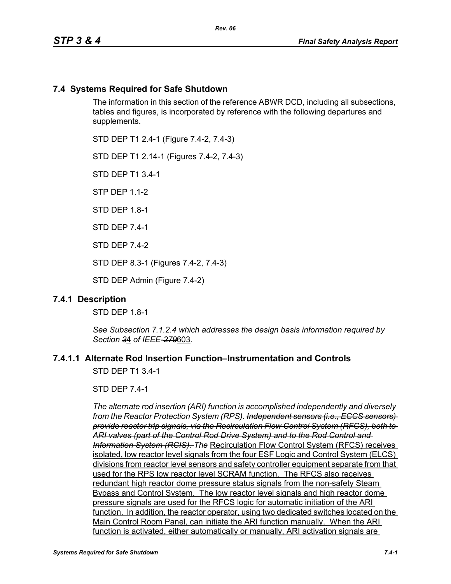# **7.4 Systems Required for Safe Shutdown**

The information in this section of the reference ABWR DCD, including all subsections, tables and figures, is incorporated by reference with the following departures and supplements.

STD DEP T1 2.4-1 (Figure 7.4-2, 7.4-3)

STD DEP T1 2.14-1 (Figures 7.4-2, 7.4-3)

STD DEP T1 3.4-1

STP DEP 1.1-2

STD DFP 18-1

STD DEP 7.4-1

STD DEP 7.4-2

STD DEP 8.3-1 (Figures 7.4-2, 7.4-3)

STD DEP Admin (Figure 7.4-2)

### **7.4.1 Description**

STD DEP 1.8-1

*See Subsection 7.1.2.4 which addresses the design basis information required by Section 3*4 *of IEEE-279*603*.*

# **7.4.1.1 Alternate Rod Insertion Function–Instrumentation and Controls**

STD DEP T1 3.4-1

STD DEP 7.4-1

*The alternate rod insertion (ARI) function is accomplished independently and diversely from the Reactor Protection System (RPS). Independent sensors (i.e., ECCS sensors) provide reactor trip signals, via the Recirculation Flow Control System (RFCS), both to ARI valves (part of the Control Rod Drive System) and to the Rod Control and Information System (RCIS). The* Recirculation Flow Control System (RFCS) receives isolated, low reactor level signals from the four ESF Logic and Control System (ELCS) divisions from reactor level sensors and safety controller equipment separate from that used for the RPS low reactor level SCRAM function. The RFCS also receives redundant high reactor dome pressure status signals from the non-safety Steam Bypass and Control System. The low reactor level signals and high reactor dome pressure signals are used for the RFCS logic for automatic initiation of the ARI function. In addition, the reactor operator, using two dedicated switches located on the Main Control Room Panel, can initiate the ARI function manually. When the ARI function is activated, either automatically or manually, ARI activation signals are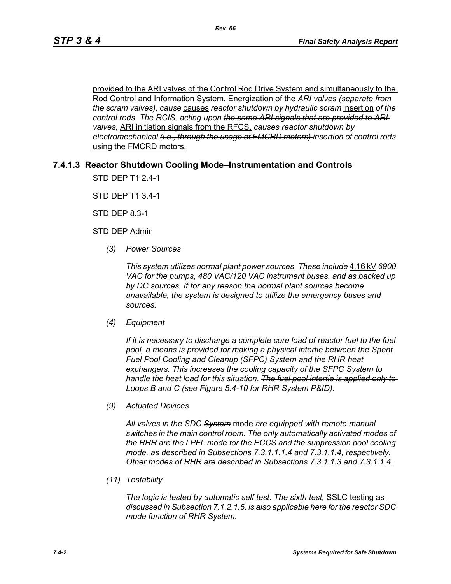provided to the ARI valves of the Control Rod Drive System and simultaneously to the Rod Control and Information System. Energization of the *ARI valves (separate from the scram valves), cause* causes *reactor shutdown by hydraulic scram* insertion *of the control rods. The RCIS, acting upon the same ARI signals that are provided to ARI valves,* ARI initiation signals from the RFCS, *causes reactor shutdown by electromechanical (i.e., through the usage of FMCRD motors) insertion of control rods*  using the FMCRD motors*.*

# **7.4.1.3 Reactor Shutdown Cooling Mode–Instrumentation and Controls**

STD DEP T1 2.4-1

STD DEP T1 3.4-1

STD DEP 8.3-1

STD DEP Admin

*(3) Power Sources*

*This system utilizes normal plant power sources. These include* 4.16 kV *6900 VAC for the pumps, 480 VAC/120 VAC instrument buses, and as backed up by DC sources. If for any reason the normal plant sources become unavailable, the system is designed to utilize the emergency buses and sources.*

*(4) Equipment*

*If it is necessary to discharge a complete core load of reactor fuel to the fuel pool, a means is provided for making a physical intertie between the Spent Fuel Pool Cooling and Cleanup (SFPC) System and the RHR heat exchangers. This increases the cooling capacity of the SFPC System to handle the heat load for this situation. The fuel pool intertie is applied only to Loops B and C (see Figure 5.4-10 for RHR System P&ID).*

*(9) Actuated Devices*

*All valves in the SDC System* mode *are equipped with remote manual switches in the main control room. The only automatically activated modes of the RHR are the LPFL mode for the ECCS and the suppression pool cooling mode, as described in Subsections 7.3.1.1.1.4 and 7.3.1.1.4, respectively. Other modes of RHR are described in Subsections 7.3.1.1.3 and 7.3.1.1.4*.

*(11) Testability*

*The logic is tested by automatic self test. The sixth test,* SSLC testing as *discussed in Subsection 7.1.2.1.6, is also applicable here for the reactor SDC mode function of RHR System.*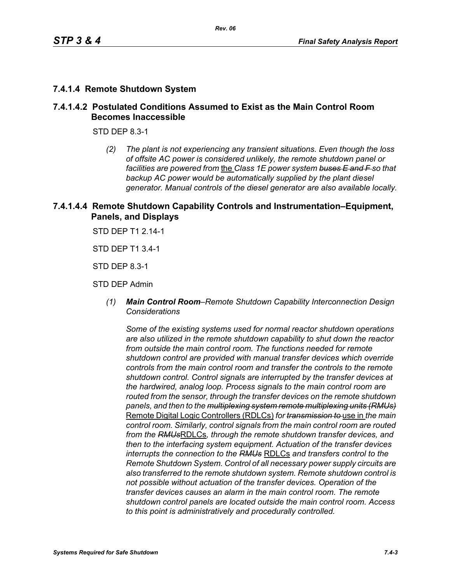# **7.4.1.4 Remote Shutdown System**

# **7.4.1.4.2 Postulated Conditions Assumed to Exist as the Main Control Room Becomes Inaccessible**

STD DEP 8.3-1

*(2) The plant is not experiencing any transient situations. Even though the loss of offsite AC power is considered unlikely, the remote shutdown panel or facilities are powered from* the *Class 1E power system buses E and F so that backup AC power would be automatically supplied by the plant diesel generator. Manual controls of the diesel generator are also available locally.*

# **7.4.1.4.4 Remote Shutdown Capability Controls and Instrumentation–Equipment, Panels, and Displays**

STD DEP T1 2.14-1

STD DEP T1 3.4-1

STD DEP 8.3-1

STD DEP Admin

*(1) Main Control Room–Remote Shutdown Capability Interconnection Design Considerations*

*Some of the existing systems used for normal reactor shutdown operations are also utilized in the remote shutdown capability to shut down the reactor from outside the main control room. The functions needed for remote shutdown control are provided with manual transfer devices which override controls from the main control room and transfer the controls to the remote shutdown control. Control signals are interrupted by the transfer devices at the hardwired, analog loop. Process signals to the main control room are routed from the sensor, through the transfer devices on the remote shutdown panels, and then to the multiplexing system remote multiplexing units (RMUs)* Remote Digital Logic Controllers (RDLCs) *for transmission to* use in *the main control room. Similarly, control signals from the main control room are routed from the RMUs*RDLCs*, through the remote shutdown transfer devices, and then to the interfacing system equipment. Actuation of the transfer devices interrupts the connection to the RMUs* RDLCs *and transfers control to the Remote Shutdown System. Control of all necessary power supply circuits are also transferred to the remote shutdown system. Remote shutdown control is not possible without actuation of the transfer devices. Operation of the transfer devices causes an alarm in the main control room. The remote shutdown control panels are located outside the main control room. Access to this point is administratively and procedurally controlled.*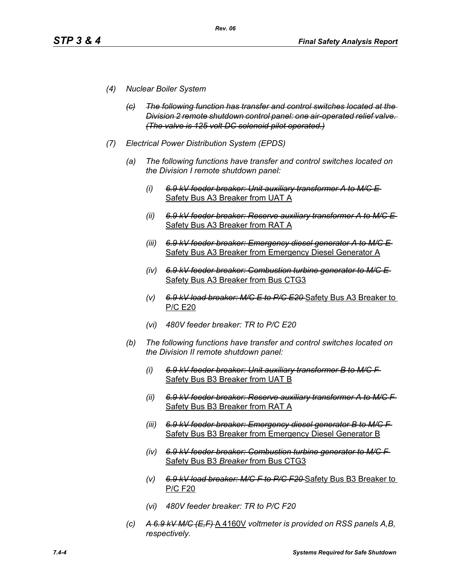- *(4) Nuclear Boiler System*
	- *(c) The following function has transfer and control switches located at the Division 2 remote shutdown control panel: one air-operated relief valve. (The valve is 125 volt DC solenoid pilot operated.)*
- *(7) Electrical Power Distribution System (EPDS)*
	- *(a) The following functions have transfer and control switches located on the Division I remote shutdown panel:*
		- *(i) 6.9 kV feeder breaker: Unit auxiliary transformer A to M/C E*  Safety Bus A3 Breaker from UAT A
		- *(ii) 6.9 kV feeder breaker: Reserve auxiliary transformer A to M/C E*  Safety Bus A3 Breaker from RAT A
		- *(iii) 6.9 kV feeder breaker: Emergency diesel generator A to M/C E*  Safety Bus A3 Breaker from Emergency Diesel Generator A
		- *(iv) 6.9 kV feeder breaker: Combustion turbine generator to M/C E*  Safety Bus A3 Breaker from Bus CTG3
		- *(v) 6.9 kV load breaker: M/C E to P/C E20* Safety Bus A3 Breaker to P/C E20
		- *(vi) 480V feeder breaker: TR to P/C E20*
	- *(b) The following functions have transfer and control switches located on the Division II remote shutdown panel:*
		- *(i) 6.9 kV feeder breaker: Unit auxiliary transformer B to M/C F*  Safety Bus B3 Breaker from UAT B
		- *(ii) 6.9 kV feeder breaker: Reserve auxiliary transformer A to M/C F*  Safety Bus B3 Breaker from RAT A
		- *(iii) 6.9 kV feeder breaker: Emergency diesel generator B to M/C F*  Safety Bus B3 Breaker from Emergency Diesel Generator B
		- *(iv) 6.9 kV feeder breaker: Combustion turbine generator to M/C F*  Safety Bus B3 *Breaker* from Bus CTG3
		- *(v) 6.9 kV load breaker: M/C F to P/C F20* Safety Bus B3 Breaker to P/C F20
		- *(vi) 480V feeder breaker: TR to P/C F20*
	- *(c) A 6.9 kV M/C (E,F)* A 4160V *voltmeter is provided on RSS panels A,B, respectively.*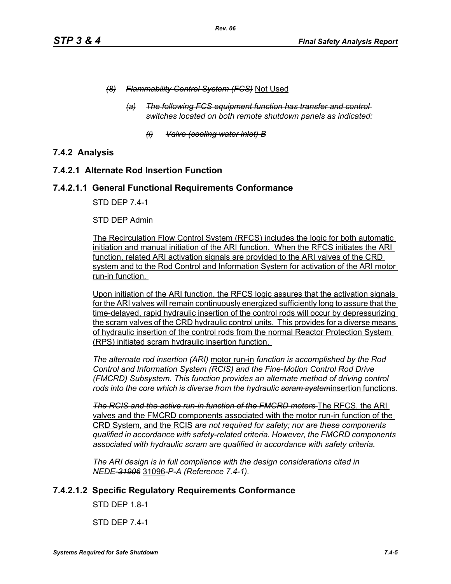- *(8) Flammability Control System (FCS)* Not Used
	- *(a) The following FCS equipment function has transfer and control switches located on both remote shutdown panels as indicated:*
		- *(i) Valve (cooling water inlet) B*

# **7.4.2 Analysis**

# **7.4.2.1 Alternate Rod Insertion Function**

# **7.4.2.1.1 General Functional Requirements Conformance**

STD DEP 7.4-1

### STD DEP Admin

The Recirculation Flow Control System (RFCS) includes the logic for both automatic initiation and manual initiation of the ARI function. When the RFCS initiates the ARI function, related ARI activation signals are provided to the ARI valves of the CRD system and to the Rod Control and Information System for activation of the ARI motor run-in function.

Upon initiation of the ARI function, the RFCS logic assures that the activation signals for the ARI valves will remain continuously energized sufficiently long to assure that the time-delayed, rapid hydraulic insertion of the control rods will occur by depressurizing the scram valves of the CRD hydraulic control units. This provides for a diverse means of hydraulic insertion of the control rods from the normal Reactor Protection System (RPS) initiated scram hydraulic insertion function.

*The alternate rod insertion (ARI)* motor run-in *function is accomplished by the Rod Control and Information System (RCIS) and the Fine-Motion Control Rod Drive (FMCRD) Subsystem. This function provides an alternate method of driving control rods into the core which is diverse from the hydraulic scram system*insertion functions*.*

**The RCIS and the active run-in function of the FMCRD motors** The RFCS, the ARI valves and the FMCRD components associated with the motor run-in function of the CRD System, and the RCIS *are not required for safety; nor are these components qualified in accordance with safety-related criteria. However, the FMCRD components associated with hydraulic scram are qualified in accordance with safety criteria.*

*The ARI design is in full compliance with the design considerations cited in NEDE-31906* 31096*-P-A (Reference 7.4-1).* 

# **7.4.2.1.2 Specific Regulatory Requirements Conformance**

STD DEP 1.8-1

STD DEP 7.4-1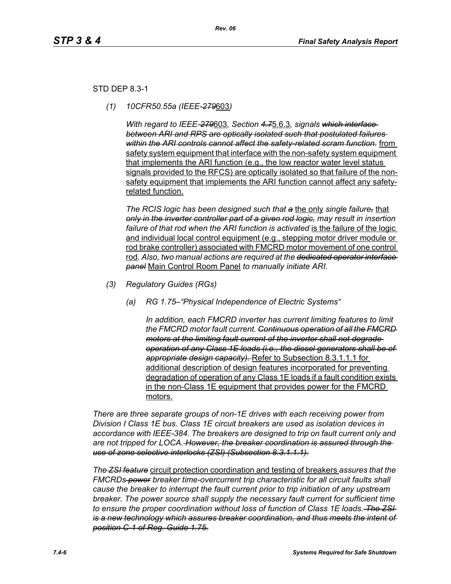# STD DEP 8.3-1

*(1) 10CFR50.55a (IEEE-279*603*)*

*With regard to IEEE-279*603*, Section 4.7*5.6.3*, signals which interface between ARI and RPS are optically isolated such that postulated failures within the ARI controls cannot affect the safety-related scram function.* from safety system equipment that interface with the non-safety system equipment that implements the ARI function (e.g., the low reactor water level status signals provided to the RFCS) are optically isolated so that failure of the nonsafety equipment that implements the ARI function cannot affect any safetyrelated function.

*The RCIS logic has been designed such that a* the only *single failure,* that *only in the inverter controller part of a given rod logic, may result in insertion*  failure of that rod when the ARI function is activated is the failure of the logic and individual local control equipment (e.g., stepping motor driver module or rod brake controller) associated with FMCRD motor movement of one control rod*. Also, two manual actions are required at the dedicated operator interface panel* Main Control Room Panel *to manually initiate ARI.* 

- *(3) Regulatory Guides (RGs)*
	- *(a) RG 1.75–"Physical Independence of Electric Systems"*

*In addition, each FMCRD inverter has current limiting features to limit the FMCRD motor fault current. Continuous operation of all the FMCRD motors at the limiting fault current of the inverter shall not degrade operation of any Class 1E loads (i.e., the diesel generators shall be of appropriate design capacity).* Refer to Subsection 8.3.1.1.1 for additional description of design features incorporated for preventing degradation of operation of any Class 1E loads if a fault condition exists in the non-Class 1E equipment that provides power for the FMCRD motors.

*There are three separate groups of non-1E drives with each receiving power from Division I Class 1E bus. Class 1E circuit breakers are used as isolation devices in accordance with IEEE-384. The breakers are designed to trip on fault current only and are not tripped for LOCA. However, the breaker coordination is assured through the use of zone selective interlocks (ZSI) (Subsection 8.3.1.1.1).*

*The ZSI feature* circuit protection coordination and testing of breakers *assures that the FMCRDs power breaker time-overcurrent trip characteristic for all circuit faults shall cause the breaker to interrupt the fault current prior to trip initiation of any upstream breaker. The power source shall supply the necessary fault current for sufficient time to ensure the proper coordination without loss of function of Class 1E loads. The ZSI is a new technology which assures breaker coordination, and thus meets the intent of position C-1 of Reg. Guide 1.75.*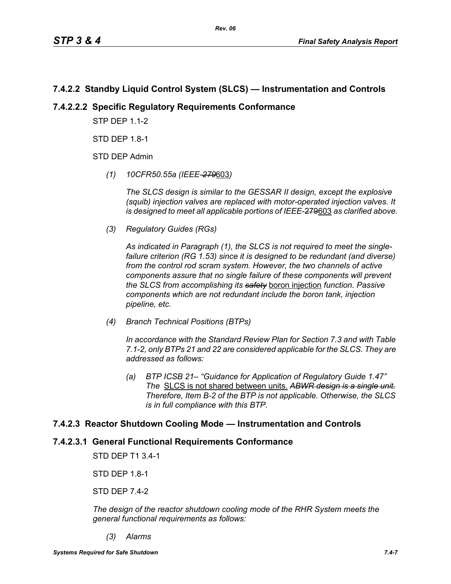# **7.4.2.2 Standby Liquid Control System (SLCS) — Instrumentation and Controls**

# **7.4.2.2.2 Specific Regulatory Requirements Conformance**

**STP DFP 1 1-2** 

STD DEP 1.8-1

STD DEP Admin

*(1) 10CFR50.55a (IEEE-279*603*)*

*The SLCS design is similar to the GESSAR II design, except the explosive (squib) injection valves are replaced with motor-operated injection valves. It is designed to meet all applicable portions of IEEE*-279603 *as clarified above.*

*(3) Regulatory Guides (RGs)*

*As indicated in Paragraph (1), the SLCS is not required to meet the singlefailure criterion (RG 1.53) since it is designed to be redundant (and diverse) from the control rod scram system. However, the two channels of active components assure that no single failure of these components will prevent the SLCS from accomplishing its safety* boron injection *function. Passive components which are not redundant include the boron tank, injection pipeline, etc.*

*(4) Branch Technical Positions (BTPs)*

*In accordance with the Standard Review Plan for Section 7.3 and with Table 7.1-2, only BTPs 21 and 22 are considered applicable for the SLCS. They are addressed as follows:*

*(a) BTP ICSB 21– "Guidance for Application of Regulatory Guide 1.47" The* SLCS is not shared between units. *ABWR design is a single unit. Therefore, Item B-2 of the BTP is not applicable. Otherwise, the SLCS is in full compliance with this BTP.*

# **7.4.2.3 Reactor Shutdown Cooling Mode — Instrumentation and Controls**

# **7.4.2.3.1 General Functional Requirements Conformance**

STD DEP T1 3.4-1

STD DEP 1.8-1

STD DEP 7.4-2

*The design of the reactor shutdown cooling mode of the RHR System meets the general functional requirements as follows:*

*(3) Alarms*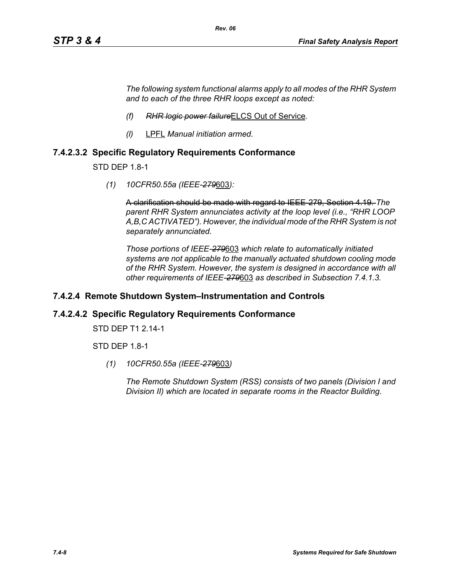*The following system functional alarms apply to all modes of the RHR System and to each of the three RHR loops except as noted:*

- *(f) RHR logic power failure*ELCS Out of Service*.*
- *(l)* LPFL *Manual initiation armed.*

# **7.4.2.3.2 Specific Regulatory Requirements Conformance**

STD DEP 1.8-1

*(1) 10CFR50.55a (IEEE-279*603*):*

A clarification should be made with regard to IEEE-279, Section 4.19. *The parent RHR System annunciates activity at the loop level (i.e., "RHR LOOP A,B,C ACTIVATED"). However, the individual mode of the RHR System is not separately annunciated.*

*Those portions of IEEE-279*603 *which relate to automatically initiated systems are not applicable to the manually actuated shutdown cooling mode of the RHR System. However, the system is designed in accordance with all other requirements of IEEE-279*603 *as described in Subsection 7.4.1.3.*

### **7.4.2.4 Remote Shutdown System–Instrumentation and Controls**

### **7.4.2.4.2 Specific Regulatory Requirements Conformance**

STD DEP T1 2.14-1

STD DEP 1.8-1

*(1) 10CFR50.55a (IEEE-279*603*)*

*The Remote Shutdown System (RSS) consists of two panels (Division I and Division II) which are located in separate rooms in the Reactor Building.*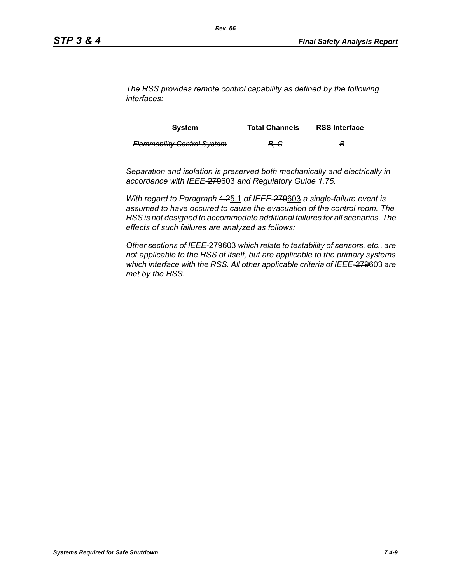*The RSS provides remote control capability as defined by the following interfaces:*

| <b>System</b>                      | <b>Total Channels</b> | <b>RSS Interface</b> |
|------------------------------------|-----------------------|----------------------|
| <b>Flammability Control System</b> | <del>B. C</del>       | в                    |

*Separation and isolation is preserved both mechanically and electrically in accordance with IEEE-*279603 *and Regulatory Guide 1.75.*

*With regard to Paragraph* 4.25.1 *of IEEE-*279603 *a single-failure event is assumed to have occured to cause the evacuation of the control room. The RSS is not designed to accommodate additional failures for all scenarios. The effects of such failures are analyzed as follows:*

*Other sections of IEEE-*279603 *which relate to testability of sensors, etc., are not applicable to the RSS of itself, but are applicable to the primary systems which interface with the RSS. All other applicable criteria of IEEE-*279603 *are met by the RSS.*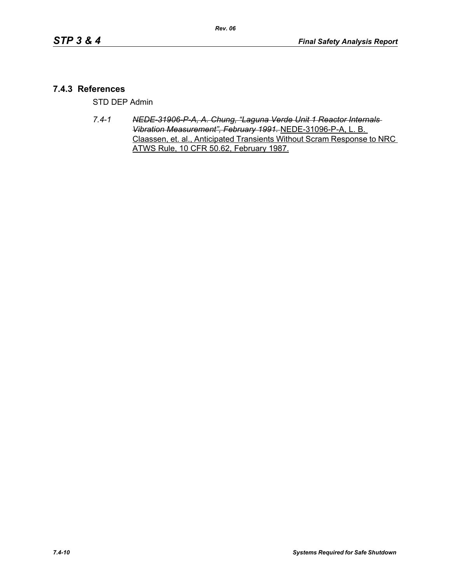# **7.4.3 References**

STD DEP Admin

*7.4-1 NEDE-31906-P-A, A. Chung, "Laguna Verde Unit 1 Reactor Internals Vibration Measurement", February 1991.* NEDE-31096-P-A, L. B. Claassen, et. al., Anticipated Transients Without Scram Response to NRC ATWS Rule, 10 CFR 50.62, February 1987.